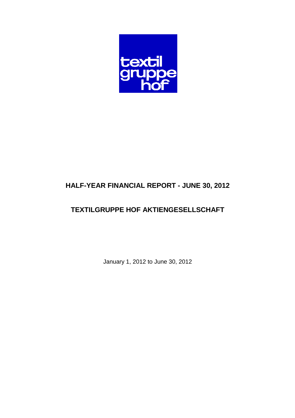

# **HALF-YEAR FINANCIAL REPORT - JUNE 30, 2012**

# **TEXTILGRUPPE HOF AKTIENGESELLSCHAFT**

January 1, 2012 to June 30, 2012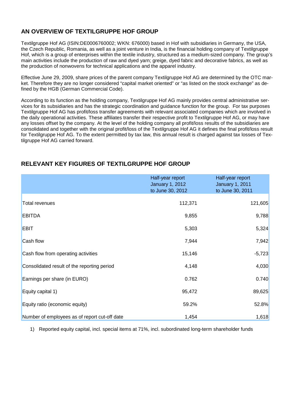## **AN OVERVIEW OF TEXTILGRUPPE HOF GROUP**

Textilgruppe Hof AG (ISIN:DE0006760002; WKN: 676000) based in Hof with subsidiaries in Germany, the USA, the Czech Republic, Romania, as well as a joint venture in India, is the financial holding company of Textilgruppe Hof, which is a group of enterprises within the textile industry, structured as a medium-sized company. The group's main activities include the production of raw and dyed yarn; greige, dyed fabric and decorative fabrics, as well as the production of nonwovens for technical applications and the apparel industry.

Effective June 29, 2009, share prices of the parent company Textilgruppe Hof AG are determined by the OTC market. Therefore they are no longer considered "capital market oriented" or "as listed on the stock exchange" as defined by the HGB (German Commercial Code).

According to its function as the holding company, Textilgruppe Hof AG mainly provides central administrative services for its subsidiaries and has the strategic coordination and guidance function for the group. For tax purposes Textilgruppe Hof AG has profit/loss transfer agreements with relevant associated companies which are involved in the daily operational activities. These affiliates transfer their respective profit to Textilgruppe Hof AG, or may have any losses offset by the company. At the level of the holding company all profit/loss results of the subsidiaries are consolidated and together with the original profit/loss of the Textilgruppe Hof AG it defines the final profit/loss result for Textilgruppe Hof AG. To the extent permitted by tax law, this annual result is charged against tax losses of Textilgruppe Hof AG carried forward.

|                                               | Half-year report<br><b>January 1, 2012</b><br>to June 30, 2012 | Half-year report<br><b>January 1, 2011</b><br>to June 30, 2011 |
|-----------------------------------------------|----------------------------------------------------------------|----------------------------------------------------------------|
| <b>Total revenues</b>                         | 112,371                                                        | 121,605                                                        |
| <b>EBITDA</b>                                 | 9,855                                                          | 9,788                                                          |
| <b>EBIT</b>                                   | 5,303                                                          | 5,324                                                          |
| Cash flow                                     | 7,944                                                          | 7,942                                                          |
| Cash flow from operating activities           | 15,146                                                         | $-5,723$                                                       |
| Consolidated result of the reporting period   | 4,148                                                          | 4,030                                                          |
| Earnings per share (in EURO)                  | 0.762                                                          | 0.740                                                          |
| Equity capital 1)                             | 95,472                                                         | 89,625                                                         |
| Equity ratio (economic equity)                | 59.2%                                                          | 52.8%                                                          |
| Number of employees as of report cut-off date | 1,454                                                          | 1,618                                                          |

## **RELEVANT KEY FIGURES OF TEXTILGRUPPE HOF GROUP**

1) Reported equity capital, incl. special items at 71%, incl. subordinated long-term shareholder funds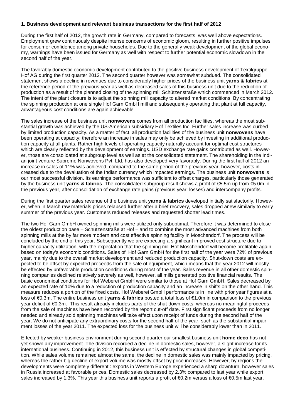#### **1. Business development and relevant business transactions for the first half of 2012**

During the first half of 2012, the growth rate in Germany, compared to forecasts, was well above expectations. Employment grew continuously despite intense concerns of economic gloom, resulting in further positive impulses for consumer confidence among private households. Due to the generally weak development of the global economy, warnings have been issued for Germany as well with respect to further potential economic slowdown in the second half of the year.

The favorably domestic economic development contributed to the positive business development of Textilgruppe Hof AG during the first quarter 2012. The second quarter however was somewhat subdued. The consolidated statement shows a decline in revenues due to considerably higher prices of the business unit **yarns & fabrics** at the reference period of the previous year as well as decreased sales of this business unit due to the reduction of production as a result of the planned closing of the spinning mill Schützenstraße which commenced in March 2012. The intent of the plant closure is to adjust the spinning mill capacity to altered market conditions. By concentrating the spinning production at one single Hof Garn GmbH mill and subsequently operating that plant at full capacity, advantageous cost conditions are again achievable.

The sales increase of the business unit **nonwovens** comes from all production facilities, whereas the most substantial growth was achieved by the US-American subsidiary Hof Textiles Inc. Further sales increase was curbed by limited production capacity. As a matter of fact, all production facilities of the business unit **nonwovens** have been operating at capacity; therefore an increase in sales may only be achieved by investing in additional production capacity at all plants. Rather high levels of operating capacity naturally account for optimal cost structures which are clearly reflected by the development of earnings. USD exchange rate gains contributed as well. However, those are consolidated at subgroup level as well as at the consolidated statement. The shareholding in the Indian joint venture Supreme Nonwovens Pvt. Ltd. has also developed very favorably. During the first half of 2012 an increase in sales of 11% was achieved, compared to the same period of the previous year, however, costs increased due to the devaluation of the Indian currency which impacted earnings. The business unit **nonwovens** is our most successful division. Its earnings performance was sufficient to offset charges, particularly those generated by the business unit **yarns & fabrics**. The consolidated subgroup result shows a profit of €5.5m up from €5.0m in the previous year, after consolidation of exchange rate gains (previous year: losses) and intercompany profits.

During the first quarter sales revenue of the business unit **yarns & fabrics** developed initially satisfactorily. However, when in March raw materials prices relapsed further after a brief recovery, sales dropped anew similarly to early summer of the previous year. Customers reduced releases and requested shorter lead times.

The two Hof Garn GmbH owned spinning mills were utilized only suboptimal. Therefore it was determined to close the oldest production base – Schützenstraße at Hof – and to combine the most advanced machines from both spinning mills at the by far more modern and cost effective spinning facility in Moschendorf. The process will be concluded by the end of this year. Subsequently we are expecting a significant improved cost structure due to higher capacity utilization, with the expectation that the spinning mill Hof Moschendorf will become profitable again based on today's economic conditions. Sales of Hof Garn GmbH for the first half of the year were 72% of previous year, mainly due to the overall market development and reduced production capacity. Shut-down costs are expected to be offset by expected proceeds from the sale of equipment, which means that the year 2012 will mostly be effected by unfavorable production conditions during most of the year. Sales revenue in all other domestic spinning companies declined relatively severely as well, however, all mills generated positive financial results. The basic economical conditions for Hof Weberei GmbH were similar to those at Hof Garn GmbH. Sales decreased by an expected rate of 10% due to a reduction of production capacity and an increase in shifts on the other hand. This measure reduces a portion of the fixed costs. Hof Weberei GmbH performance is in line with prior year figures at a loss of €0.3m. The entire business unit **yarns & fabrics** posted a total loss of €1.0m in comparison to the previous year deficit of €0.3m. This result already includes parts of the shut-down costs, whereas no meaningful proceeds from the sale of machines have been recorded by the report cut-off date. First significant proceeds from no longer needed and already sold spinning machines will take effect upon receipt of funds during the second half of the year. We do not anticipate any extraordinary costs for the second half of the year, such as the substantial impairment losses of the year 2011. The expected loss for the business unit will be considerably lower than in 2011.

Effected by weaker business environment during second quarter our smallest business unit **home deco** has not yet shown any improvement. The division recorded a decline in domestic sales, however, a slight increase for its international business. Continuing in 2012, this business unit is effected by structural changes in global competition. While sales volume remained almost the same, the decline in domestic sales was mainly impacted by pricing, whereas the rather big decline of export volume was mostly offset by price increases. However, by regions the developments were completely different : exports in Western Europe experienced a sharp downturn, however sales in Russia increased at favorable prices. Domestic sales decreased by 2.3% compared to last year while export sales increased by 1.3%. This year this business unit reports a profit of €0.2m versus a loss of €0.5m last year.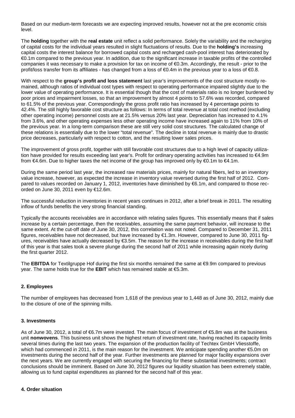Based on our medium-term forecasts we are expecting improved results, however not at the pre economic crisis level.

The **holding** together with the **real estate** unit reflect a solid performance. Solely the variability and the recharging of capital costs for the individual years resulted in slight fluctuations of results. Due to the **holding's** increasing capital costs the interest balance for borrowed capital costs and recharged cash-pool interest has deteriorated by €0.1m compared to the previous year. In addition, due to the significant increase in taxable profits of the controlled companies it was necessary to make a provision for tax on income of €0.3m. Accordingly, the result - prior to the profit/loss transfer from its affiliates - has changed from a loss of  $\epsilon 0.4$ m in the previous year to a loss of  $\epsilon 0.8$ .

With respect to the **group's profit and loss statement** last year's improvements of the cost structure mostly remained, although ratios of individual cost types with respect to operating performance impaired slightly due to the lower value of operating performance. It is essential though that the cost of materials ratio is no longer burdened by poor prices and impairment losses, so that an improvement by almost 4 points to 57.6% was recorded, compared to 61.5% of the previous year. Correspondingly the gross profit ratio has increased by 4 percentage points to 42.4%. The still highly favorable cost structure as follows: In terms of total revenue at total cost method (excluding other operating income) personnel costs are at 21.5% versus 20% last year. Depreciation has increased to 4.1% from 3.6%, and other operating expenses less other operating income have increased again to 11% from 10% of the previous year. In a long-term comparison these are still very solid cost structures. The calculated change of these relations is essentially due to the lower "total revenue". The decline in total revenue is mainly due to drastic price decreases, particularly with respect to cotton, and the resulting lower sales prices.

The improvement of gross profit, together with still favorable cost structures due to a high level of capacity utilization have provided for results exceeding last year's. Profit for ordinary operating activities has increased to €4.9m from €4.6m. Due to higher taxes the net income of the group has improved only by €0.1m to €4.1m.

During the same period last year, the increased raw materials prices, mainly for natural fibers, led to an inventory value increase, however, as expected the increase in inventory value reversed during the first half of 2012. Compared to values recorded on January 1, 2012, inventories have diminished by €6.1m, and compared to those recorded on June 30, 2011 even by €12.6m.

The successful reduction in inventories in recent years continues in 2012, after a brief break in 2011. The resulting inflow of funds benefits the very strong financial standing.

Typically the accounts receivables are in accordance with relating sales figures. This essentially means that if sales increase by a certain percentage, then the receivables, assuming the same payment behavior, will increase to the same extent. At the cut-off date of June 30, 2012, this correlation was not noted. Compared to December 31, 2011 figures, receivables have not decreased, but have increased by €1.3m. However, compared to June 30, 2011 figures, receivables have actually decreased by €3.5m. The reason for the increase in receivables during the first half of this year is that sales took a severe plunge during the second half of 2011 while increasing again nicely during the first quarter 2012.

The **EBITDA** for Textilgruppe Hof during the first six months remained the same at €9.9m compared to previous year. The same holds true for the **EBIT** which has remained stable at €5.3m.

#### **2. Employees**

The number of employees has decreased from 1,618 of the previous year to 1,448 as of June 30, 2012, mainly due to the closure of one of the spinning mills.

#### **3. Investments**

As of June 30, 2012, a total of €6.7m were invested. The main focus of investment of €5.8m was at the business unit **nonwovens**. This business unit shows the highest return of investment rate, having reached its capacity limits several times during the last two years. The expansion of the production facility of Techtex GmbH Vliesstoffe, which had commenced in 2011, is the main reason for the investment. We anticipate spending another €5.0m on investments during the second half of the year. Further investments are planned for major facility expansions over the next years. We are currently engaged with securing the financing for these substantial investments; contract conclusions should be imminent. Based on June 30, 2012 figures our liquidity situation has been extremely stable, allowing us to fund capital expenditures as planned for the second half of this year.

#### **4. Order situation**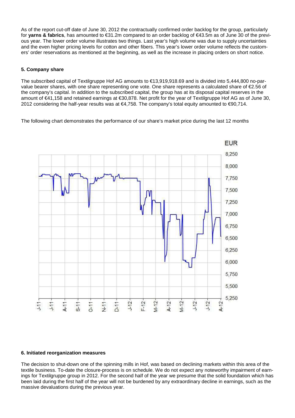As of the report cut-off date of June 30, 2012 the contractually confirmed order backlog for the group, particularly for **yarns & fabrics**, has amounted to €31.2m compared to an order backlog of €43.5m as of June 30 of the previous year. The lower order volume illustrates two things. Last year's high volume was due to supply uncertainties and the even higher pricing levels for cotton and other fibers. This year's lower order volume reflects the customers' order reservations as mentioned at the beginning, as well as the increase in placing orders on short notice.

#### **5. Company share**

The subscribed capital of Textilgruppe Hof AG amounts to €13,919,918.69 and is divided into 5,444,800 no-parvalue bearer shares, with one share representing one vote. One share represents a calculated share of €2.56 of the company's capital. In addition to the subscribed capital, the group has at its disposal capital reserves in the amount of €41,158 and retained earnings at €30,878. Net profit for the year of Textilgruppe Hof AG as of June 30, 2012 considering the half-year results was at €4,758. The company's total equity amounted to €90,714.

The following chart demonstrates the performance of our share's market price during the last 12 months



#### **6. Initiated reorganization measures**

The decision to shut-down one of the spinning mills in Hof, was based on declining markets within this area of the textile business. To-date the closure-process is on schedule. We do not expect any noteworthy impairment of earnings for Textilgruppe group in 2012. For the second half of the year we presume that the solid foundation which has been laid during the first half of the year will not be burdened by any extraordinary decline in earnings, such as the massive devaluations during the previous year.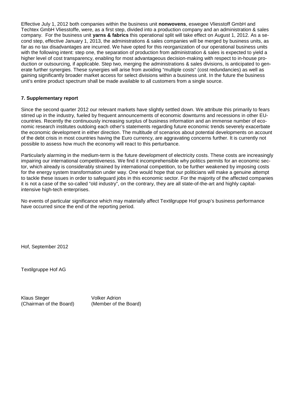Effective July 1, 2012 both companies within the business unit **nonwovens**, eswegee Vliesstoff GmbH and Techtex GmbH Vliesstoffe, were, as a first step, divided into a production company and an administration & sales company. For the business unit **yarns & fabrics** this operational split will take effect on August 1, 2012. As a second step, effective January 1, 2013, the administrations & sales companies will be merged by business units, as far as no tax disadvantages are incurred. We have opted for this reorganization of our operational business units with the following intent: step one, the separation of production from administration & sales is expected to yield a higher level of cost transparency, enabling for most advantageous decision-making with respect to in-house production or outsourcing, if applicable. Step two, merging the administrations & sales divisions, is anticipated to generate further synergies. These synergies will arise from avoiding "multiple costs" (cost redundancies) as well as gaining significantly broader market access for select divisions within a business unit. In the future the business unit's entire product spectrum shall be made available to all customers from a single source.

#### **7. Supplementary report**

Since the second quarter 2012 our relevant markets have slightly settled down. We attribute this primarily to fears stirred up in the industry, fueled by frequent announcements of economic downturns and recessions in other EUcountries. Recently the continuously increasing surplus of business information and an immense number of economic research institutes outdoing each other's statements regarding future economic trends severely exacerbate the economic development in either direction. The multitude of scenarios about potential developments on account of the debt crisis in most countries having the Euro currency, are aggravating concerns further. It is currently not possible to assess how much the economy will react to this perturbance.

Particularly alarming in the medium-term is the future development of electricity costs. These costs are increasingly impairing our international competitiveness. We find it incomprehensible why politics permits for an economic sector, which already is considerably strained by international competition, to be further weakened by imposing costs for the energy system transformation under way. One would hope that our politicians will make a genuine attempt to tackle these issues in order to safeguard jobs in this economic sector. For the majority of the affected companies it is not a case of the so-called "old industry", on the contrary, they are all state-of-the-art and highly capitalintensive high-tech enterprises.

No events of particular significance which may materially affect Textilgruppe Hof group's business performance have occurred since the end of the reporting period.

Hof, September 2012

Textilgruppe Hof AG

Klaus Steger Volker Adrion (Chairman of the Board) (Member of the Board)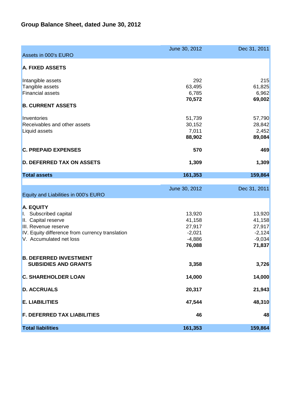# **Group Balance Sheet, dated June 30, 2012**

| Assets in 000's EURO                            | June 30, 2012      | Dec 31, 2011       |
|-------------------------------------------------|--------------------|--------------------|
| <b>A. FIXED ASSETS</b>                          |                    |                    |
|                                                 |                    |                    |
| Intangible assets                               | 292                | 215                |
| Tangible assets                                 | 63,495             | 61,825             |
| <b>Financial assets</b>                         | 6,785              | 6,962              |
|                                                 | 70,572             | 69,002             |
| <b>B. CURRENT ASSETS</b>                        |                    |                    |
| Inventories                                     | 51,739             | 57,790             |
| Receivables and other assets                    | 30,152             | 28,842             |
| Liquid assets                                   | 7,011              | 2,452              |
|                                                 | 88,902             | 89,084             |
|                                                 |                    |                    |
| <b>C. PREPAID EXPENSES</b>                      | 570                | 469                |
| <b>D. DEFERRED TAX ON ASSETS</b>                | 1,309              | 1,309              |
| <b>Total assets</b>                             | 161,353            | 159,864            |
|                                                 |                    |                    |
| Equity and Liabilities in 000's EURO            | June 30, 2012      | Dec 31, 2011       |
|                                                 |                    |                    |
| <b>A. EQUITY</b>                                |                    |                    |
| I. Subscribed capital                           | 13,920             | 13,920             |
| II. Capital reserve<br>III. Revenue reserve     | 41,158             | 41,158             |
| IV. Equity difference from currency translation | 27,917<br>$-2,021$ | 27,917<br>$-2,124$ |
| V. Accumulated net loss                         | $-4,886$           | $-9,034$           |
|                                                 | 76,088             | 71,837             |
|                                                 |                    |                    |
| <b>B. DEFERRED INVESTMENT</b>                   |                    |                    |
| <b>SUBSIDIES AND GRANTS</b>                     | 3,358              | 3,726              |
| <b>C. SHAREHOLDER LOAN</b>                      | 14,000             | 14,000             |
| <b>D. ACCRUALS</b>                              | 20,317             | 21,943             |
| <b>E. LIABILITIES</b>                           | 47,544             | 48,310             |
| <b>F. DEFERRED TAX LIABILITIES</b>              | 46                 | 48                 |
| <b>Total liabilities</b>                        | 161,353            | 159,864            |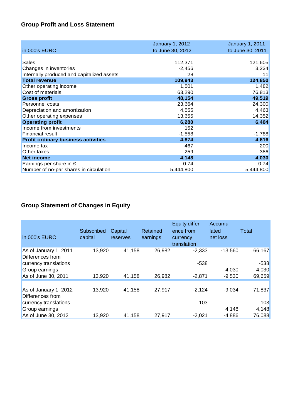# **Group Profit and Loss Statement**

|                                            | <b>January 1, 2012</b> | <b>January 1, 2011</b> |
|--------------------------------------------|------------------------|------------------------|
| in 000's EURO                              | to June 30, 2012       | to June 30, 2011       |
|                                            |                        |                        |
| Sales                                      | 112,371                | 121,605                |
| Changes in inventories                     | $-2,456$               | 3,234                  |
| Internally produced and capitalized assets | 28                     | 11                     |
| <b>Total revenue</b>                       | 109,943                | 124,850                |
| Other operating income                     | 1,501                  | 1,482                  |
| Cost of materials                          | 63,290                 | 76,813                 |
| <b>Gross profit</b>                        | 48,154                 | 49,519                 |
| Personnel costs                            | 23,664                 | 24,300                 |
| Depreciation and amortization              | 4,555                  | 4,463                  |
| Other operating expenses                   | 13,655                 | 14,352                 |
| <b>Operating profit</b>                    | 6,280                  | 6,404                  |
| Income from investments                    | 152                    |                        |
| <b>Financial result</b>                    | $-1,558$               | $-1,788$               |
| <b>Profit ordinary business activities</b> | 4,874                  | 4,616                  |
| Income tax                                 | 467                    | 200                    |
| Other taxes                                | 259                    | 386                    |
| <b>Net income</b>                          | 4,148                  | 4,030                  |
| Earnings per share in $\epsilon$           | 0.74                   | 0.74                   |
| Number of no-par shares in circulation     | 5,444,800              | 5,444,800              |

# **Group Statement of Changes in Equity**

| Subscribed<br>capital | Capital<br>reserves | Retained<br>earnings | <b>Equity differ-</b><br>ence from<br>currency<br>translation | Accumu-<br>lated<br>net loss | Total             |
|-----------------------|---------------------|----------------------|---------------------------------------------------------------|------------------------------|-------------------|
| 13,920                | 41,158              |                      | $-2.333$<br>$-538$                                            | $-13,560$                    | 66,167<br>$-538$  |
| 13,920                | 41,158              |                      | $-2,871$                                                      | 4,030<br>$-9,530$            | 4,030<br>69,659   |
| 13,920                | 41,158              | 27,917               | $-2,124$                                                      | $-9,034$                     | 71,837            |
|                       |                     |                      | 103                                                           |                              | 103               |
|                       |                     |                      |                                                               |                              | 4,148<br>76,088   |
|                       | 13,920              | 41,158               | 27,917                                                        | 26,982<br>26,982<br>$-2.021$ | 4,148<br>$-4,886$ |